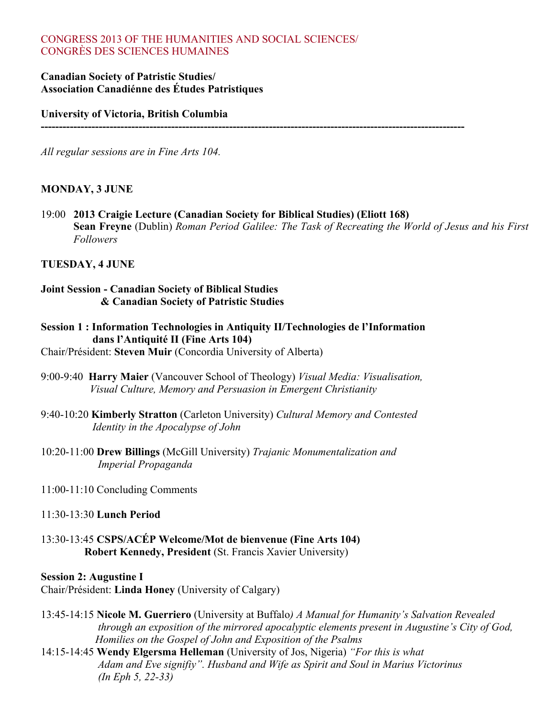# CONGRESS 2013 OF THE HUMANITIES AND SOCIAL SCIENCES/ CONGRÈS DES SCIENCES HUMAINES

# **Canadian Society of Patristic Studies/ Association Canadiénne des Études Patristiques**

**University of Victoria, British Columbia** 

*All regular sessions are in Fine Arts 104.*

# **MONDAY, 3 JUNE**

19:00 **2013 Craigie Lecture (Canadian Society for Biblical Studies) (Eliott 168) Sean Freyne** (Dublin) *Roman Period Galilee: The Task of Recreating the World of Jesus and his First Followers*

**---------------------------------------------------------------------------------------------------------------------**

# **TUESDAY, 4 JUNE**

# **Joint Session - Canadian Society of Biblical Studies & Canadian Society of Patristic Studies**

- **Session 1 : Information Technologies in Antiquity II/Technologies de l'Information dans l'Antiquité II (Fine Arts 104)**
- Chair/Président: **Steven Muir** (Concordia University of Alberta)
- 9:00-9:40 **Harry Maier** (Vancouver School of Theology) *Visual Media: Visualisation, Visual Culture, Memory and Persuasion in Emergent Christianity*
- 9:40-10:20 **Kimberly Stratton** (Carleton University) *Cultural Memory and Contested Identity in the Apocalypse of John*
- 10:20-11:00 **Drew Billings** (McGill University) *Trajanic Monumentalization and Imperial Propaganda*
- 11:00-11:10 Concluding Comments
- 11:30-13:30 **Lunch Period**
- 13:30-13:45 **CSPS/ACÉP Welcome/Mot de bienvenue (Fine Arts 104) Robert Kennedy, President** (St. Francis Xavier University)

### **Session 2: Augustine I**

Chair/Président: **Linda Honey** (University of Calgary)

- 13:45-14:15 **Nicole M. Guerriero** (University at Buffalo*) A Manual for Humanity's Salvation Revealed through an exposition of the mirrored apocalyptic elements present in Augustine's City of God, Homilies on the Gospel of John and Exposition of the Psalms*
- 14:15-14:45 **Wendy Elgersma Helleman** (University of Jos, Nigeria) *"For this is what Adam and Eve signifiy". Husband and Wife as Spirit and Soul in Marius Victorinus (In Eph 5, 22-33)*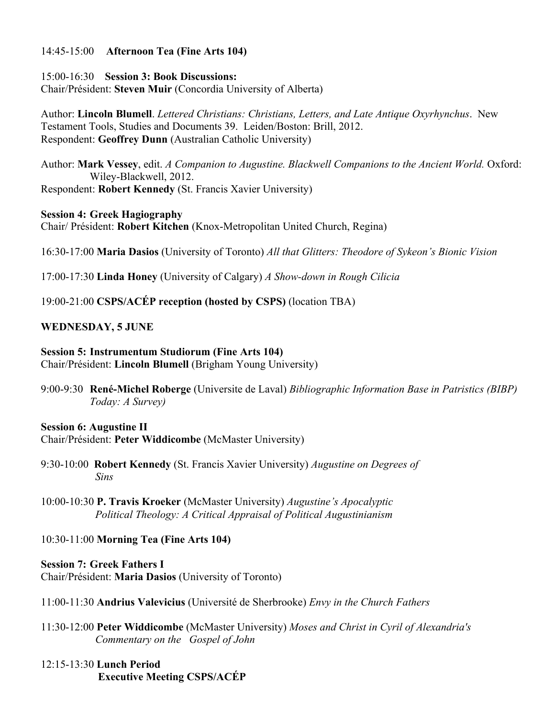# 14:45-15:00 **Afternoon Tea (Fine Arts 104)**

# 15:00-16:30 **Session 3: Book Discussions:**

Chair/Président: **Steven Muir** (Concordia University of Alberta)

Author: **Lincoln Blumell**. *Lettered Christians: Christians, Letters, and Late Antique Oxyrhynchus*. New Testament Tools, Studies and Documents 39. Leiden/Boston: Brill, 2012. Respondent: **Geoffrey Dunn** (Australian Catholic University)

Author: **Mark Vessey**, edit. *A Companion to Augustine. Blackwell Companions to the Ancient World.* Oxford: Wiley-Blackwell, 2012.

Respondent: **Robert Kennedy** (St. Francis Xavier University)

# **Session 4: Greek Hagiography**

Chair/ Président: **Robert Kitchen** (Knox-Metropolitan United Church, Regina)

16:30-17:00 **Maria Dasios** (University of Toronto) *All that Glitters: Theodore of Sykeon's Bionic Vision*

17:00-17:30 **Linda Honey** (University of Calgary) *A Show-down in Rough Cilicia*

19:00-21:00 **CSPS/ACÉP reception (hosted by CSPS)** (location TBA)

# **WEDNESDAY, 5 JUNE**

# **Session 5: Instrumentum Studiorum (Fine Arts 104)**

Chair/Président: **Lincoln Blumell** (Brigham Young University)

9:00-9:30 **René-Michel Roberge** (Universite de Laval) *Bibliographic Information Base in Patristics (BIBP) Today: A Survey)*

# **Session 6: Augustine II**

Chair/Président: **Peter Widdicombe** (McMaster University)

- 9:30-10:00 **Robert Kennedy** (St. Francis Xavier University) *Augustine on Degrees of Sins*
- 10:00-10:30 **P. Travis Kroeker** (McMaster University) *Augustine's Apocalyptic Political Theology: A Critical Appraisal of Political Augustinianism*

# 10:30-11:00 **Morning Tea (Fine Arts 104)**

**Session 7: Greek Fathers I** Chair/Président: **Maria Dasios** (University of Toronto)

- 11:00-11:30 **Andrius Valevicius** (Université de Sherbrooke) *Envy in the Church Fathers*
- 11:30-12:00 **Peter Widdicombe** (McMaster University) *Moses and Christ in Cyril of Alexandria's Commentary on the Gospel of John*
- 12:15-13:30 **Lunch Period Executive Meeting CSPS/ACÉP**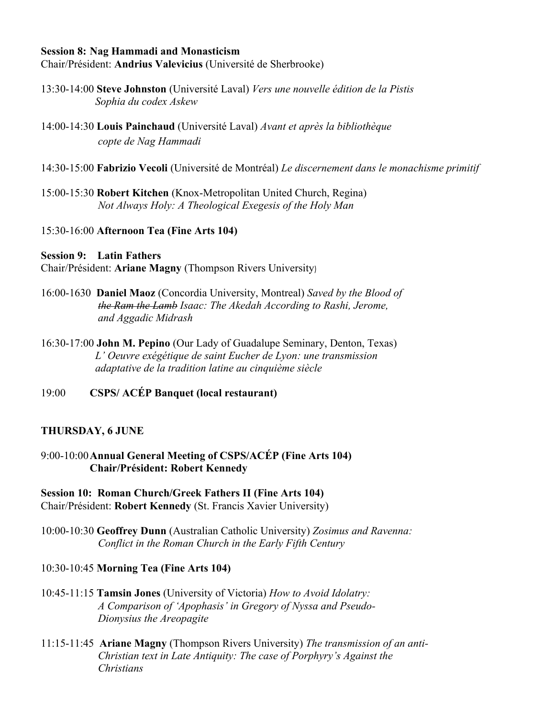### **Session 8: Nag Hammadi and Monasticism**

Chair/Président: **Andrius Valevicius** (Université de Sherbrooke)

- 13:30-14:00 **Steve Johnston** (Université Laval) *Vers une nouvelle édition de la Pistis Sophia du codex Askew*
- 14:00-14:30 **Louis Painchaud** (Université Laval) *Avant et après la bibliothèque copte de Nag Hammadi*
- 14:30-15:00 **Fabrizio Vecoli** (Université de Montréal) *Le discernement dans le monachisme primitif*
- 15:00-15:30 **Robert Kitchen** (Knox-Metropolitan United Church, Regina) *Not Always Holy: A Theological Exegesis of the Holy Man*

### 15:30-16:00 **Afternoon Tea (Fine Arts 104)**

# **Session 9: Latin Fathers**

Chair/Président: **Ariane Magny** (Thompson Rivers University)

- 16:00-1630 **Daniel Maoz** (Concordia University, Montreal) *Saved by the Blood of the Ram the Lamb Isaac: The Akedah According to Rashi, Jerome, and Aggadic Midrash*
- 16:30-17:00 **John M. Pepino** (Our Lady of Guadalupe Seminary, Denton, Texas) *L' Oeuvre exégétique de saint Eucher de Lyon: une transmission adaptative de la tradition latine au cinquième siècle*
- 19:00 **CSPS/ ACÉP Banquet (local restaurant)**

### **THURSDAY, 6 JUNE**

9:00-10:00**Annual General Meeting of CSPS/ACÉP (Fine Arts 104) Chair/Président: Robert Kennedy**

**Session 10: Roman Church/Greek Fathers II (Fine Arts 104)** Chair/Président: **Robert Kennedy** (St. Francis Xavier University)

10:00-10:30 **Geoffrey Dunn** (Australian Catholic University) *Zosimus and Ravenna: Conflict in the Roman Church in the Early Fifth Century*

# 10:30-10:45 **Morning Tea (Fine Arts 104)**

- 10:45-11:15 **Tamsin Jones** (University of Victoria) *How to Avoid Idolatry: A Comparison of 'Apophasis' in Gregory of Nyssa and Pseudo- Dionysius the Areopagite*
- 11:15-11:45 **Ariane Magny** (Thompson Rivers University) *The transmission of an anti- Christian text in Late Antiquity: The case of Porphyry's Against the Christians*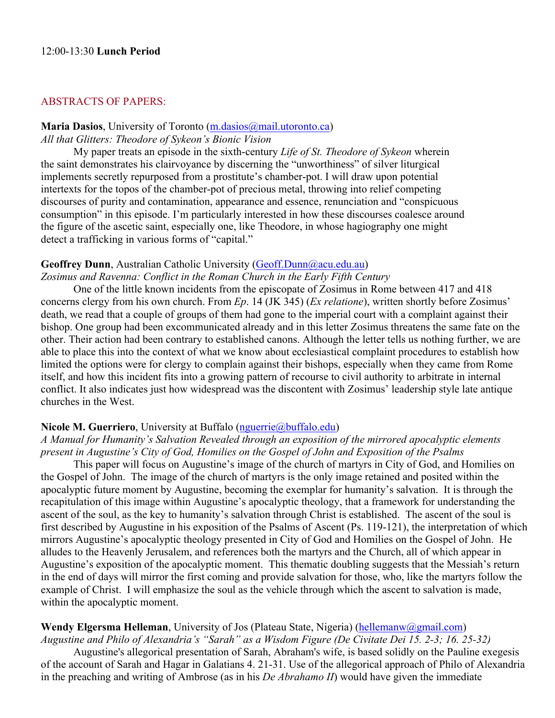### ABSTRACTS OF PAPERS:

#### **Maria Dasios**, University of Toronto (m.dasios@mail.utoronto.ca)

### *All that Glitters: Theodore of Sykeon's Bionic Vision*

My paper treats an episode in the sixth-century *Life of St. Theodore of Sykeon* wherein the saint demonstrates his clairvoyance by discerning the "unworthiness" of silver liturgical implements secretly repurposed from a prostitute's chamber-pot. I will draw upon potential intertexts for the topos of the chamber-pot of precious metal, throwing into relief competing discourses of purity and contamination, appearance and essence, renunciation and "conspicuous consumption" in this episode. I'm particularly interested in how these discourses coalesce around the figure of the ascetic saint, especially one, like Theodore, in whose hagiography one might detect a trafficking in various forms of "capital."

### **Geoffrey Dunn**, Australian Catholic University (Geoff.Dunn@acu.edu.au)

*Zosimus and Ravenna: Conflict in the Roman Church in the Early Fifth Century*

One of the little known incidents from the episcopate of Zosimus in Rome between 417 and 418 concerns clergy from his own church. From *Ep*. 14 (JK 345) (*Ex relatione*), written shortly before Zosimus' death, we read that a couple of groups of them had gone to the imperial court with a complaint against their bishop. One group had been excommunicated already and in this letter Zosimus threatens the same fate on the other. Their action had been contrary to established canons. Although the letter tells us nothing further, we are able to place this into the context of what we know about ecclesiastical complaint procedures to establish how limited the options were for clergy to complain against their bishops, especially when they came from Rome itself, and how this incident fits into a growing pattern of recourse to civil authority to arbitrate in internal conflict. It also indicates just how widespread was the discontent with Zosimus' leadership style late antique churches in the West.

### **Nicole M. Guerriero**, University at Buffalo (nguerrie@buffalo.edu)

*A Manual for Humanity's Salvation Revealed through an exposition of the mirrored apocalyptic elements present in Augustine's City of God, Homilies on the Gospel of John and Exposition of the Psalms*

This paper will focus on Augustine's image of the church of martyrs in City of God, and Homilies on the Gospel of John. The image of the church of martyrs is the only image retained and posited within the apocalyptic future moment by Augustine, becoming the exemplar for humanity's salvation. It is through the recapitulation of this image within Augustine's apocalyptic theology, that a framework for understanding the ascent of the soul, as the key to humanity's salvation through Christ is established. The ascent of the soul is first described by Augustine in his exposition of the Psalms of Ascent (Ps. 119-121), the interpretation of which mirrors Augustine's apocalyptic theology presented in City of God and Homilies on the Gospel of John. He alludes to the Heavenly Jerusalem, and references both the martyrs and the Church, all of which appear in Augustine's exposition of the apocalyptic moment. This thematic doubling suggests that the Messiah's return in the end of days will mirror the first coming and provide salvation for those, who, like the martyrs follow the example of Christ. I will emphasize the soul as the vehicle through which the ascent to salvation is made, within the apocalyptic moment.

# **Wendy Elgersma Helleman**, University of Jos (Plateau State, Nigeria) (hellemanw@gmail.com)

*Augustine and Philo of Alexandria's "Sarah" as a Wisdom Figure (De Civitate Dei 15. 2-3; 16. 25-32)* Augustine's allegorical presentation of Sarah, Abraham's wife, is based solidly on the Pauline exegesis of the account of Sarah and Hagar in Galatians 4. 21-31. Use of the allegorical approach of Philo of Alexandria in the preaching and writing of Ambrose (as in his *De Abrahamo II*) would have given the immediate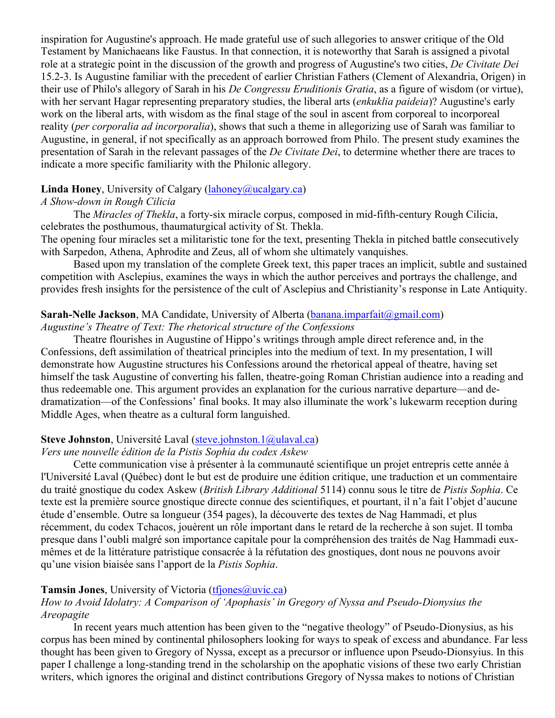inspiration for Augustine's approach. He made grateful use of such allegories to answer critique of the Old Testament by Manichaeans like Faustus. In that connection, it is noteworthy that Sarah is assigned a pivotal role at a strategic point in the discussion of the growth and progress of Augustine's two cities, *De Civitate Dei* 15.2-3. Is Augustine familiar with the precedent of earlier Christian Fathers (Clement of Alexandria, Origen) in their use of Philo's allegory of Sarah in his *De Congressu Eruditionis Gratia*, as a figure of wisdom (or virtue), with her servant Hagar representing preparatory studies, the liberal arts (*enkuklia paideia*)? Augustine's early work on the liberal arts, with wisdom as the final stage of the soul in ascent from corporeal to incorporeal reality (*per corporalia ad incorporalia*), shows that such a theme in allegorizing use of Sarah was familiar to Augustine, in general, if not specifically as an approach borrowed from Philo. The present study examines the presentation of Sarah in the relevant passages of the *De Civitate Dei*, to determine whether there are traces to indicate a more specific familiarity with the Philonic allegory.

# **Linda Honey**, University of Calgary (*lahoney@ucalgary.ca*)

# *A Show-down in Rough Cilicia*

The *Miracles of Thekla*, a forty-six miracle corpus, composed in mid-fifth-century Rough Cilicia, celebrates the posthumous, thaumaturgical activity of St. Thekla.

The opening four miracles set a militaristic tone for the text, presenting Thekla in pitched battle consecutively with Sarpedon, Athena, Aphrodite and Zeus, all of whom she ultimately vanquishes.

Based upon my translation of the complete Greek text, this paper traces an implicit, subtle and sustained competition with Asclepius, examines the ways in which the author perceives and portrays the challenge, and provides fresh insights for the persistence of the cult of Asclepius and Christianity's response in Late Antiquity.

# **Sarah-Nelle Jackson**, MA Candidate, University of Alberta (banana.imparfait@gmail.com)

*Augustine's Theatre of Text: The rhetorical structure of the Confessions*

Theatre flourishes in Augustine of Hippo's writings through ample direct reference and, in the Confessions, deft assimilation of theatrical principles into the medium of text. In my presentation, I will demonstrate how Augustine structures his Confessions around the rhetorical appeal of theatre, having set himself the task Augustine of converting his fallen, theatre-going Roman Christian audience into a reading and thus redeemable one. This argument provides an explanation for the curious narrative departure—and dedramatization—of the Confessions' final books. It may also illuminate the work's lukewarm reception during Middle Ages, when theatre as a cultural form languished.

# **Steve Johnston**, Université Laval (steve.johnston.1@ulaval.ca)

# *Vers une nouvelle édition de la Pistis Sophia du codex Askew*

Cette communication vise à présenter à la communauté scientifique un projet entrepris cette année à l'Université Laval (Québec) dont le but est de produire une édition critique, une traduction et un commentaire du traité gnostique du codex Askew (*British Library Additional* 5114) connu sous le titre de *Pistis Sophia*. Ce texte est la première source gnostique directe connue des scientifiques, et pourtant, il n'a fait l'objet d'aucune étude d'ensemble. Outre sa longueur (354 pages), la découverte des textes de Nag Hammadi, et plus récemment, du codex Tchacos, jouèrent un rôle important dans le retard de la recherche à son sujet. Il tomba presque dans l'oubli malgré son importance capitale pour la compréhension des traités de Nag Hammadi euxmêmes et de la littérature patristique consacrée à la réfutation des gnostiques, dont nous ne pouvons avoir qu'une vision biaisée sans l'apport de la *Pistis Sophia*.

# **Tamsin Jones**, University of Victoria (tfiones@uvic.ca)

# *How to Avoid Idolatry: A Comparison of 'Apophasis' in Gregory of Nyssa and Pseudo-Dionysius the Areopagite*

In recent years much attention has been given to the "negative theology" of Pseudo-Dionysius, as his corpus has been mined by continental philosophers looking for ways to speak of excess and abundance. Far less thought has been given to Gregory of Nyssa, except as a precursor or influence upon Pseudo-Dionsyius. In this paper I challenge a long-standing trend in the scholarship on the apophatic visions of these two early Christian writers, which ignores the original and distinct contributions Gregory of Nyssa makes to notions of Christian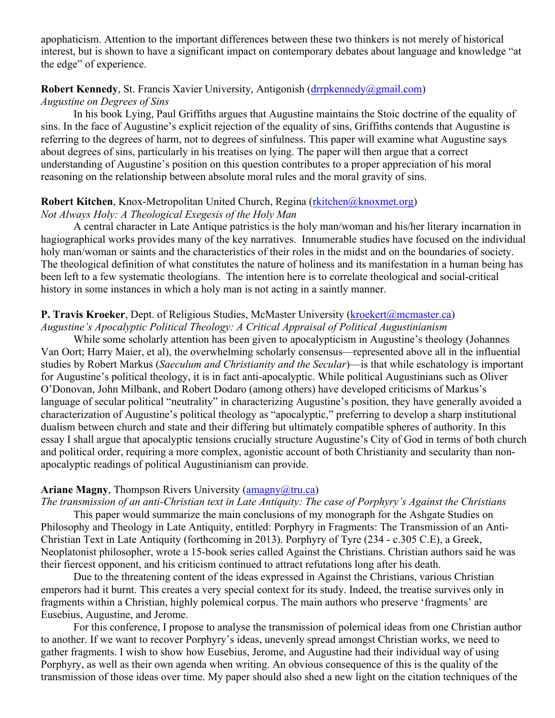apophaticism. Attention to the important differences between these two thinkers is not merely of historical interest, but is shown to have a significant impact on contemporary debates about language and knowledge "at the edge" of experience.

### **Robert Kennedy, St. Francis Xavier University, Antigonish (drrpkennedy@gmail.com)**

*Augustine on Degrees of Sins*

In his book Lying, Paul Griffiths argues that Augustine maintains the Stoic doctrine of the equality of sins. In the face of Augustine's explicit rejection of the equality of sins, Griffiths contends that Augustine is referring to the degrees of harm, not to degrees of sinfulness. This paper will examine what Augustine says about degrees of sins, particularly in his treatises on lying. The paper will then argue that a correct understanding of Augustine's position on this question contributes to a proper appreciation of his moral reasoning on the relationship between absolute moral rules and the moral gravity of sins.

### **Robert Kitchen**, Knox-Metropolitan United Church, Regina (rkitchen@knoxmet.org) *Not Always Holy: A Theological Exegesis of the Holy Man*

A central character in Late Antique patristics is the holy man/woman and his/her literary incarnation in hagiographical works provides many of the key narratives. Innumerable studies have focused on the individual holy man/woman or saints and the characteristics of their roles in the midst and on the boundaries of society. The theological definition of what constitutes the nature of holiness and its manifestation in a human being has been left to a few systematic theologians. The intention here is to correlate theological and social-critical history in some instances in which a holy man is not acting in a saintly manner.

# **P.** Travis Kroeker, Dept. of Religious Studies, McMaster University (kroekert@mcmaster.ca)

*Augustine's Apocalyptic Political Theology: A Critical Appraisal of Political Augustinianism*

While some scholarly attention has been given to apocalypticism in Augustine's theology (Johannes Van Oort; Harry Maier, et al), the overwhelming scholarly consensus—represented above all in the influential studies by Robert Markus (*Saeculum and Christianity and the Secular*)—is that while eschatology is important for Augustine's political theology, it is in fact anti-apocalyptic. While political Augustinians such as Oliver O'Donovan, John Milbank, and Robert Dodaro (among others) have developed criticisms of Markus's language of secular political "neutrality" in characterizing Augustine's position, they have generally avoided a characterization of Augustine's political theology as "apocalyptic," preferring to develop a sharp institutional dualism between church and state and their differing but ultimately compatible spheres of authority. In this essay I shall argue that apocalyptic tensions crucially structure Augustine's City of God in terms of both church and political order, requiring a more complex, agonistic account of both Christianity and secularity than nonapocalyptic readings of political Augustinianism can provide.

# **Ariane Magny**, Thompson Rivers University (amagny@tru.ca)

### *The transmission of an anti-Christian text in Late Antiquity: The case of Porphyry's Against the Christians*

This paper would summarize the main conclusions of my monograph for the Ashgate Studies on Philosophy and Theology in Late Antiquity, entitled: Porphyry in Fragments: The Transmission of an Anti-Christian Text in Late Antiquity (forthcoming in 2013). Porphyry of Tyre (234 - c.305 C.E), a Greek, Neoplatonist philosopher, wrote a 15-book series called Against the Christians. Christian authors said he was their fiercest opponent, and his criticism continued to attract refutations long after his death.

Due to the threatening content of the ideas expressed in Against the Christians, various Christian emperors had it burnt. This creates a very special context for its study. Indeed, the treatise survives only in fragments within a Christian, highly polemical corpus. The main authors who preserve 'fragments' are Eusebius, Augustine, and Jerome.

For this conference, I propose to analyse the transmission of polemical ideas from one Christian author to another. If we want to recover Porphyry's ideas, unevenly spread amongst Christian works, we need to gather fragments. I wish to show how Eusebius, Jerome, and Augustine had their individual way of using Porphyry, as well as their own agenda when writing. An obvious consequence of this is the quality of the transmission of those ideas over time. My paper should also shed a new light on the citation techniques of the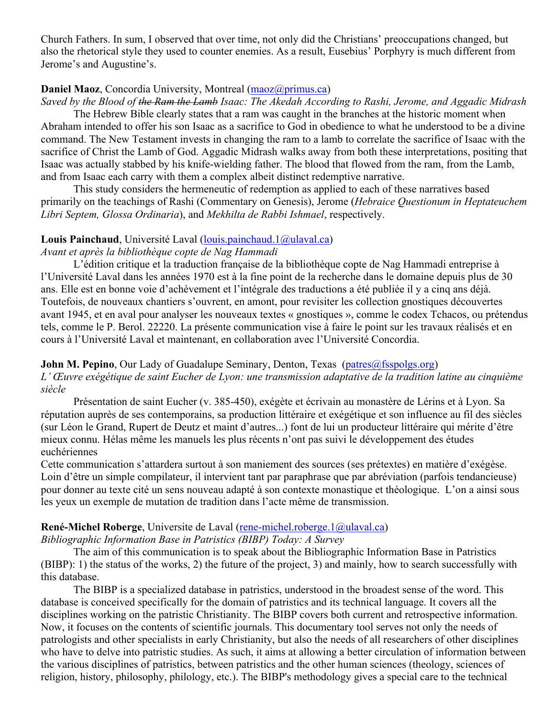Church Fathers. In sum, I observed that over time, not only did the Christians' preoccupations changed, but also the rhetorical style they used to counter enemies. As a result, Eusebius' Porphyry is much different from Jerome's and Augustine's.

# **Daniel Maoz**, Concordia University, Montreal (maoz@primus.ca)

*Saved by the Blood of the Ram the Lamb Isaac: The Akedah According to Rashi, Jerome, and Aggadic Midrash*

The Hebrew Bible clearly states that a ram was caught in the branches at the historic moment when Abraham intended to offer his son Isaac as a sacrifice to God in obedience to what he understood to be a divine command. The New Testament invests in changing the ram to a lamb to correlate the sacrifice of Isaac with the sacrifice of Christ the Lamb of God. Aggadic Midrash walks away from both these interpretations, positing that Isaac was actually stabbed by his knife-wielding father. The blood that flowed from the ram, from the Lamb, and from Isaac each carry with them a complex albeit distinct redemptive narrative.

This study considers the hermeneutic of redemption as applied to each of these narratives based primarily on the teachings of Rashi (Commentary on Genesis), Jerome (*Hebraice Questionum in Heptateuchem Libri Septem, Glossa Ordinaria*), and *Mekhilta de Rabbi Ishmael*, respectively.

### **Louis Painchaud**, Université Laval (louis.painchaud.1@ulaval.ca)

### *Avant et après la bibliothèque copte de Nag Hammadi*

L'édition critique et la traduction française de la bibliothèque copte de Nag Hammadi entreprise à l'Université Laval dans les années 1970 est à la fine point de la recherche dans le domaine depuis plus de 30 ans. Elle est en bonne voie d'achèvement et l'intégrale des traductions a été publiée il y a cinq ans déjà. Toutefois, de nouveaux chantiers s'ouvrent, en amont, pour revisiter les collection gnostiques découvertes avant 1945, et en aval pour analyser les nouveaux textes « gnostiques », comme le codex Tchacos, ou prétendus tels, comme le P. Berol. 22220. La présente communication vise à faire le point sur les travaux réalisés et en cours à l'Université Laval et maintenant, en collaboration avec l'Université Concordia.

### **John M. Pepino**, Our Lady of Guadalupe Seminary, Denton, Texas (patres@fsspolgs.org)

*L' Œuvre exégétique de saint Eucher de Lyon: une transmission adaptative de la tradition latine au cinquième siècle*

Présentation de saint Eucher (v. 385-450), exégète et écrivain au monastère de Lérins et à Lyon. Sa réputation auprès de ses contemporains, sa production littéraire et exégétique et son influence au fil des siècles (sur Léon le Grand, Rupert de Deutz et maint d'autres...) font de lui un producteur littéraire qui mérite d'être mieux connu. Hélas même les manuels les plus récents n'ont pas suivi le développement des études euchériennes

Cette communication s'attardera surtout à son maniement des sources (ses prétextes) en matière d'exégèse. Loin d'être un simple compilateur, il intervient tant par paraphrase que par abréviation (parfois tendancieuse) pour donner au texte cité un sens nouveau adapté à son contexte monastique et théologique. L'on a ainsi sous les yeux un exemple de mutation de tradition dans l'acte même de transmission.

#### **René-Michel Roberge**, Universite de Laval (rene-michel.roberge.1@ulaval.ca)

*Bibliographic Information Base in Patristics (BIBP) Today: A Survey*

The aim of this communication is to speak about the Bibliographic Information Base in Patristics (BIBP): 1) the status of the works, 2) the future of the project, 3) and mainly, how to search successfully with this database.

The BIBP is a specialized database in patristics, understood in the broadest sense of the word. This database is conceived specifically for the domain of patristics and its technical language. It covers all the disciplines working on the patristic Christianity. The BIBP covers both current and retrospective information. Now, it focuses on the contents of scientific journals. This documentary tool serves not only the needs of patrologists and other specialists in early Christianity, but also the needs of all researchers of other disciplines who have to delve into patristic studies. As such, it aims at allowing a better circulation of information between the various disciplines of patristics, between patristics and the other human sciences (theology, sciences of religion, history, philosophy, philology, etc.). The BIBP's methodology gives a special care to the technical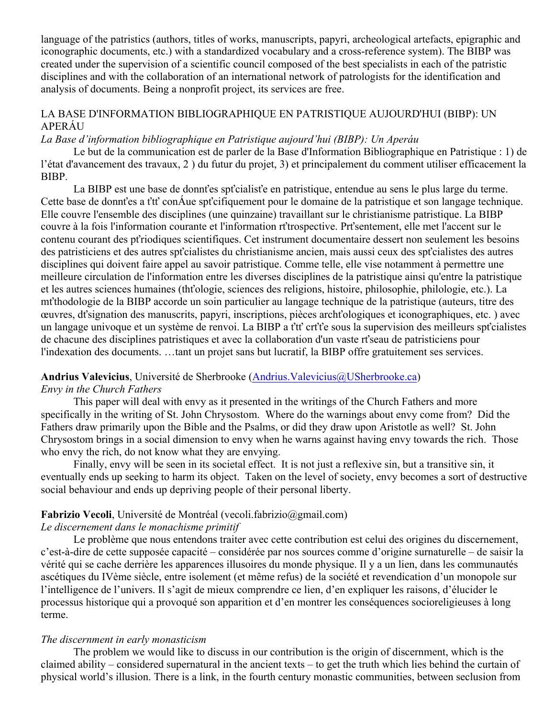language of the patristics (authors, titles of works, manuscripts, papyri, archeological artefacts, epigraphic and iconographic documents, etc.) with a standardized vocabulary and a cross-reference system). The BIBP was created under the supervision of a scientific council composed of the best specialists in each of the patristic disciplines and with the collaboration of an international network of patrologists for the identification and analysis of documents. Being a nonprofit project, its services are free.

# LA BASE D'INFORMATION BIBLIOGRAPHIQUE EN PATRISTIQUE AUJOURD'HUI (BIBP): UN APERÁU

### *La Base d'information bibliographique en Patristique aujourd'hui (BIBP): Un Aperáu*

Le but de la communication est de parler de la Base d'Information Bibliographique en Patristique : 1) de l'état d'avancement des travaux, 2 ) du futur du projet, 3) et principalement du comment utiliser efficacement la BIBP.

La BIBP est une base de donnťes spťcialisťe en patristique, entendue au sens le plus large du terme. Cette base de donnťes a ťtť conÁue spťcifiquement pour le domaine de la patristique et son langage technique. Elle couvre l'ensemble des disciplines (une quinzaine) travaillant sur le christianisme patristique. La BIBP couvre à la fois l'information courante et l'information rťtrospective. Prťsentement, elle met l'accent sur le contenu courant des pťriodiques scientifiques. Cet instrument documentaire dessert non seulement les besoins des patristiciens et des autres spťcialistes du christianisme ancien, mais aussi ceux des spťcialistes des autres disciplines qui doivent faire appel au savoir patristique. Comme telle, elle vise notamment à permettre une meilleure circulation de l'information entre les diverses disciplines de la patristique ainsi qu'entre la patristique et les autres sciences humaines (thťologie, sciences des religions, histoire, philosophie, philologie, etc.). La mťthodologie de la BIBP accorde un soin particulier au langage technique de la patristique (auteurs, titre des œuvres, dťsignation des manuscrits, papyri, inscriptions, pièces archťologiques et iconographiques, etc. ) avec un langage univoque et un système de renvoi. La BIBP a ťtť crťťe sous la supervision des meilleurs spťcialistes de chacune des disciplines patristiques et avec la collaboration d'un vaste rťseau de patristiciens pour l'indexation des documents. …tant un projet sans but lucratif, la BIBP offre gratuitement ses services.

# **Andrius Valevicius**, Université de Sherbrooke (Andrius.Valevicius@USherbrooke.ca)

# *Envy in the Church Fathers*

This paper will deal with envy as it presented in the writings of the Church Fathers and more specifically in the writing of St. John Chrysostom. Where do the warnings about envy come from? Did the Fathers draw primarily upon the Bible and the Psalms, or did they draw upon Aristotle as well? St. John Chrysostom brings in a social dimension to envy when he warns against having envy towards the rich. Those who envy the rich, do not know what they are envying.

Finally, envy will be seen in its societal effect. It is not just a reflexive sin, but a transitive sin, it eventually ends up seeking to harm its object. Taken on the level of society, envy becomes a sort of destructive social behaviour and ends up depriving people of their personal liberty.

# **Fabrizio Vecoli**, Université de Montréal (vecoli.fabrizio@gmail.com)

# *Le discernement dans le monachisme primitif*

Le problème que nous entendons traiter avec cette contribution est celui des origines du discernement, c'est-à-dire de cette supposée capacité – considérée par nos sources comme d'origine surnaturelle – de saisir la vérité qui se cache derrière les apparences illusoires du monde physique. Il y a un lien, dans les communautés ascétiques du IVème siècle, entre isolement (et même refus) de la société et revendication d'un monopole sur l'intelligence de l'univers. Il s'agit de mieux comprendre ce lien, d'en expliquer les raisons, d'élucider le processus historique qui a provoqué son apparition et d'en montrer les conséquences socioreligieuses à long terme.

# *The discernment in early monasticism*

The problem we would like to discuss in our contribution is the origin of discernment, which is the claimed ability – considered supernatural in the ancient texts – to get the truth which lies behind the curtain of physical world's illusion. There is a link, in the fourth century monastic communities, between seclusion from